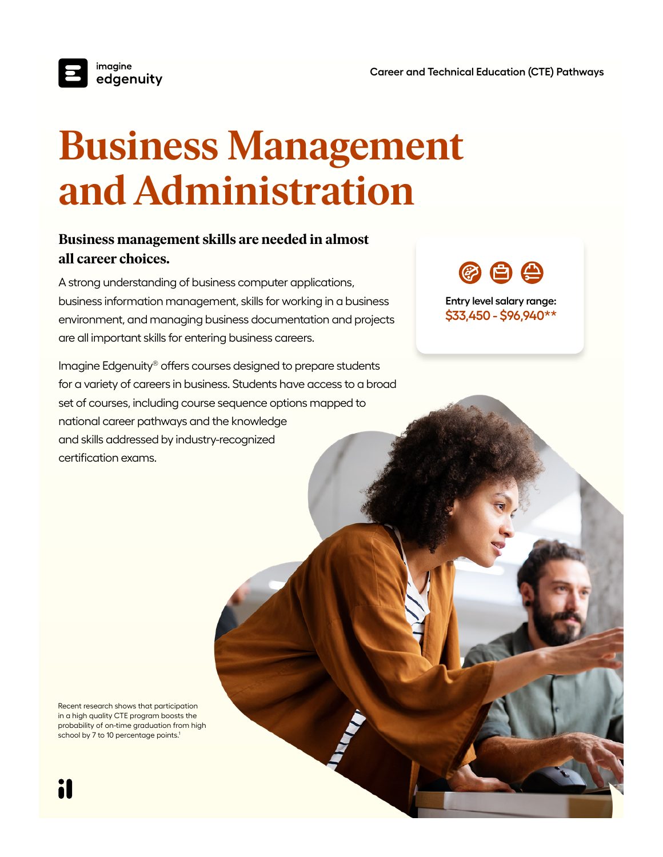

## **Business Management and Administration**

## **Business management skills are needed in almost all career choices.**

A strong understanding of business computer applications, business information management, skills for working in a business environment, and managing business documentation and projects are all important skills for entering business careers.

Imagine Edgenuity® offers courses designed to prepare students for a variety of careers in business. Students have access to a broad set of courses, including course sequence options mapped to national career pathways and the knowledge and skills addressed by industry-recognized certification exams.

(2) 白 尘

**Entry level salary range: \$33,450 - \$96,940\*\***

Recent research shows that participation in a high quality CTE program boosts the probability of on-time graduation from high school by 7 to 10 percentage points.<sup>1</sup>